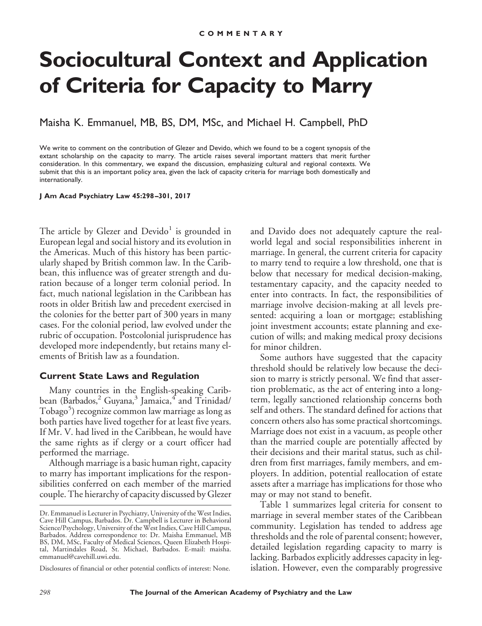# **Sociocultural Context and Application of Criteria for Capacity to Marry**

Maisha K. Emmanuel, MB, BS, DM, MSc, and Michael H. Campbell, PhD

We write to comment on the contribution of Glezer and Devido, which we found to be a cogent synopsis of the extant scholarship on the capacity to marry. The article raises several important matters that merit further consideration. In this commentary, we expand the discussion, emphasizing cultural and regional contexts. We submit that this is an important policy area, given the lack of capacity criteria for marriage both domestically and internationally.

**J Am Acad Psychiatry Law 45:298 –301, 2017**

The article by Glezer and  $Devido<sup>1</sup>$  is grounded in European legal and social history and its evolution in the Americas. Much of this history has been particularly shaped by British common law. In the Caribbean, this influence was of greater strength and duration because of a longer term colonial period. In fact, much national legislation in the Caribbean has roots in older British law and precedent exercised in the colonies for the better part of 300 years in many cases. For the colonial period, law evolved under the rubric of occupation. Postcolonial jurisprudence has developed more independently, but retains many elements of British law as a foundation.

### **Current State Laws and Regulation**

Many countries in the English-speaking Caribbean (Barbados, ${}^{2}$  Guyana, ${}^{3}$  Jamaica, ${}^{4}$  and Trinidad/ Tobago<sup>5</sup>) recognize common law marriage as long as both parties have lived together for at least five years. If Mr. V. had lived in the Caribbean, he would have the same rights as if clergy or a court officer had performed the marriage.

Although marriage is a basic human right, capacity to marry has important implications for the responsibilities conferred on each member of the married couple. The hierarchy of capacity discussed by Glezer and Davido does not adequately capture the realworld legal and social responsibilities inherent in marriage. In general, the current criteria for capacity to marry tend to require a low threshold, one that is below that necessary for medical decision-making, testamentary capacity, and the capacity needed to enter into contracts. In fact, the responsibilities of marriage involve decision-making at all levels presented: acquiring a loan or mortgage; establishing joint investment accounts; estate planning and execution of wills; and making medical proxy decisions for minor children.

Some authors have suggested that the capacity threshold should be relatively low because the decision to marry is strictly personal. We find that assertion problematic, as the act of entering into a longterm, legally sanctioned relationship concerns both self and others. The standard defined for actions that concern others also has some practical shortcomings. Marriage does not exist in a vacuum, as people other than the married couple are potentially affected by their decisions and their marital status, such as children from first marriages, family members, and employers. In addition, potential reallocation of estate assets after a marriage has implications for those who may or may not stand to benefit.

Table 1 summarizes legal criteria for consent to marriage in several member states of the Caribbean community. Legislation has tended to address age thresholds and the role of parental consent; however, detailed legislation regarding capacity to marry is lacking. Barbados explicitly addresses capacity in legislation. However, even the comparably progressive

Dr. Emmanuel is Lecturer in Psychiatry, University of the West Indies, Cave Hill Campus, Barbados. Dr. Campbell is Lecturer in Behavioral Science/Psychology, University of the West Indies, Cave Hill Campus, Barbados. Address correspondence to: Dr. Maisha Emmanuel, MB BS, DM, MSc, Faculty of Medical Sciences, Queen Elizabeth Hospital, Martindales Road, St. Michael, Barbados. E-mail: [maisha.](mailto:maisha.emmanuel@cavehill.uwi.edu) [emmanuel@cavehill.uwi.edu.](mailto:maisha.emmanuel@cavehill.uwi.edu)

Disclosures of financial or other potential conflicts of interest: None.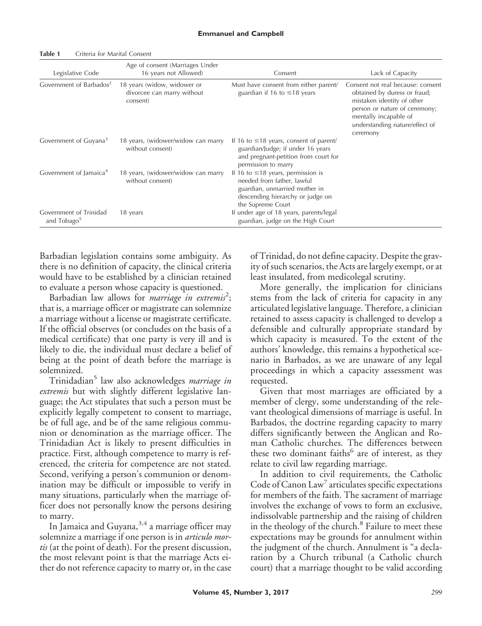| Legislative Code                        | Age of consent (Marriages Under<br>16 years not Allowed)              | Consent                                                                                                                                                         | Lack of Capacity                                                                                                                                                                                        |
|-----------------------------------------|-----------------------------------------------------------------------|-----------------------------------------------------------------------------------------------------------------------------------------------------------------|---------------------------------------------------------------------------------------------------------------------------------------------------------------------------------------------------------|
| Government of Barbados <sup>2</sup>     | 18 years (widow, widower or<br>divorcee can marry without<br>consent) | Must have consent from either parent/<br>guardian if 16 to $\leq$ 18 years                                                                                      | Consent not real because: consent<br>obtained by duress or fraud;<br>mistaken identity of other<br>person or nature of ceremony;<br>mentally incapable of<br>understanding nature/effect of<br>ceremony |
| Government of Guyana <sup>3</sup>       | 18 years, (widower/widow can marry<br>without consent)                | If 16 to $\leq$ 18 years, consent of parent/<br>guardian/Judge; if under 16 years<br>and pregnant-petition from court for<br>permission to marry                |                                                                                                                                                                                                         |
| Government of Jamaica <sup>4</sup>      | 18 years, (widower/widow can marry<br>without consent)                | If 16 to $\leq$ 18 years, permission is<br>needed from father, lawful<br>guardian, unmarried mother in<br>descending hierarchy or judge on<br>the Supreme Court |                                                                                                                                                                                                         |
| Government of Trinidad<br>and $Tobago5$ | 18 years                                                              | If under age of 18 years, parents/legal<br>guardian, judge on the High Court                                                                                    |                                                                                                                                                                                                         |

**Table 1** Criteria for Marital Consent

Barbadian legislation contains some ambiguity. As there is no definition of capacity, the clinical criteria would have to be established by a clinician retained to evaluate a person whose capacity is questioned.

Barbadian law allows for *marriage in extremis<sup>2</sup>*; that is, a marriage officer or magistrate can solemnize a marriage without a license or magistrate certificate. If the official observes (or concludes on the basis of a medical certificate) that one party is very ill and is likely to die, the individual must declare a belief of being at the point of death before the marriage is solemnized.

Trinidadian<sup>5</sup> law also acknowledges *marriage in extremis* but with slightly different legislative language; the Act stipulates that such a person must be explicitly legally competent to consent to marriage, be of full age, and be of the same religious communion or denomination as the marriage officer. The Trinidadian Act is likely to present difficulties in practice. First, although competence to marry is referenced, the criteria for competence are not stated. Second, verifying a person's communion or denomination may be difficult or impossible to verify in many situations, particularly when the marriage officer does not personally know the persons desiring to marry.

In Jamaica and Guyana,  $3.4$  a marriage officer may solemnize a marriage if one person is in *articulo mortis* (at the point of death). For the present discussion, the most relevant point is that the marriage Acts either do not reference capacity to marry or, in the case of Trinidad, do not define capacity. Despite the gravity of such scenarios, the Acts are largely exempt, or at least insulated, from medicolegal scrutiny.

More generally, the implication for clinicians stems from the lack of criteria for capacity in any articulated legislative language. Therefore, a clinician retained to assess capacity is challenged to develop a defensible and culturally appropriate standard by which capacity is measured. To the extent of the authors' knowledge, this remains a hypothetical scenario in Barbados, as we are unaware of any legal proceedings in which a capacity assessment was requested.

Given that most marriages are officiated by a member of clergy, some understanding of the relevant theological dimensions of marriage is useful. In Barbados, the doctrine regarding capacity to marry differs significantly between the Anglican and Roman Catholic churches. The differences between these two dominant faiths<sup>6</sup> are of interest, as they relate to civil law regarding marriage.

In addition to civil requirements, the Catholic Code of Canon Law $\prime$  articulates specific expectations for members of the faith. The sacrament of marriage involves the exchange of vows to form an exclusive, indissolvable partnership and the raising of children in the theology of the church.<sup>8</sup> Failure to meet these expectations may be grounds for annulment within the judgment of the church. Annulment is "a declaration by a Church tribunal (a Catholic church court) that a marriage thought to be valid according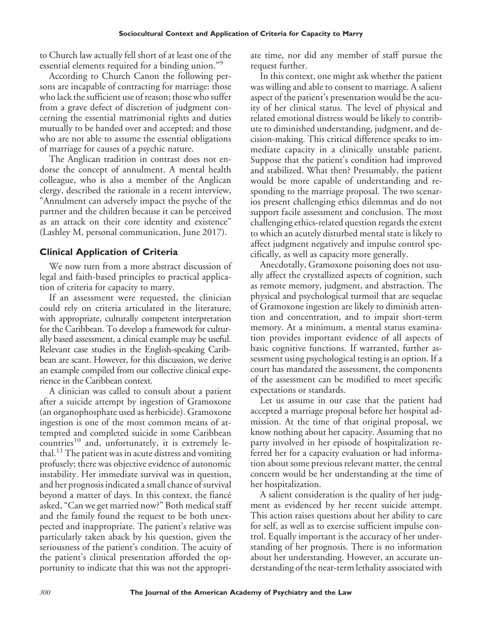to Church law actually fell short of at least one of the essential elements required for a binding union."<sup>9</sup>

According to Church Canon the following persons are incapable of contracting for marriage: those who lack the sufficient use of reason; those who suffer from a grave defect of discretion of judgment concerning the essential matrimonial rights and duties mutually to be handed over and accepted; and those who are not able to assume the essential obligations of marriage for causes of a psychic nature.

The Anglican tradition in contrast does not endorse the concept of annulment. A mental health colleague, who is also a member of the Anglican clergy, described the rationale in a recent interview, "Annulment can adversely impact the psyche of the partner and the children because it can be perceived as an attack on their core identity and existence" (Lashley M, personal communication, June 2017).

## **Clinical Application of Criteria**

We now turn from a more abstract discussion of legal and faith-based principles to practical application of criteria for capacity to marry.

If an assessment were requested, the clinician could rely on criteria articulated in the literature, with appropriate, culturally competent interpretation for the Caribbean. To develop a framework for culturally based assessment, a clinical example may be useful. Relevant case studies in the English-speaking Caribbean are scant. However, for this discussion, we derive an example compiled from our collective clinical experience in the Caribbean context.

A clinician was called to consult about a patient after a suicide attempt by ingestion of Gramoxone (an organophosphate used as herbicide). Gramoxone ingestion is one of the most common means of attempted and completed suicide in some Caribbean countries<sup>10</sup> and, unfortunately, it is extremely lethal.<sup>11</sup> The patient was in acute distress and vomiting profusely; there was objective evidence of autonomic instability. Her immediate survival was in question, and her prognosis indicated a small chance of survival beyond a matter of days. In this context, the fiancé asked, "Can we get married now?" Both medical staff and the family found the request to be both unexpected and inappropriate. The patient's relative was particularly taken aback by his question, given the seriousness of the patient's condition. The acuity of the patient's clinical presentation afforded the opportunity to indicate that this was not the appropriate time, nor did any member of staff pursue the request further.

In this context, one might ask whether the patient was willing and able to consent to marriage. A salient aspect of the patient's presentation would be the acuity of her clinical status. The level of physical and related emotional distress would be likely to contribute to diminished understanding, judgment, and decision-making. This critical difference speaks to immediate capacity in a clinically unstable patient. Suppose that the patient's condition had improved and stabilized. What then? Presumably, the patient would be more capable of understanding and responding to the marriage proposal. The two scenarios present challenging ethics dilemmas and do not support facile assessment and conclusion. The most challenging ethics-related question regards the extent to which an acutely disturbed mental state is likely to affect judgment negatively and impulse control specifically, as well as capacity more generally.

Anecdotally, Gramoxone poisoning does not usually affect the crystallized aspects of cognition, such as remote memory, judgment, and abstraction. The physical and psychological turmoil that are sequelae of Gramoxone ingestion are likely to diminish attention and concentration, and to impair short-term memory. At a minimum, a mental status examination provides important evidence of all aspects of basic cognitive functions. If warranted, further assessment using psychological testing is an option. If a court has mandated the assessment, the components of the assessment can be modified to meet specific expectations or standards.

Let us assume in our case that the patient had accepted a marriage proposal before her hospital admission. At the time of that original proposal, we know nothing about her capacity. Assuming that no party involved in her episode of hospitalization referred her for a capacity evaluation or had information about some previous relevant matter, the central concern would be her understanding at the time of her hospitalization.

A salient consideration is the quality of her judgment as evidenced by her recent suicide attempt. This action raises questions about her ability to care for self, as well as to exercise sufficient impulse control. Equally important is the accuracy of her understanding of her prognosis. There is no information about her understanding. However, an accurate understanding of the near-term lethality associated with